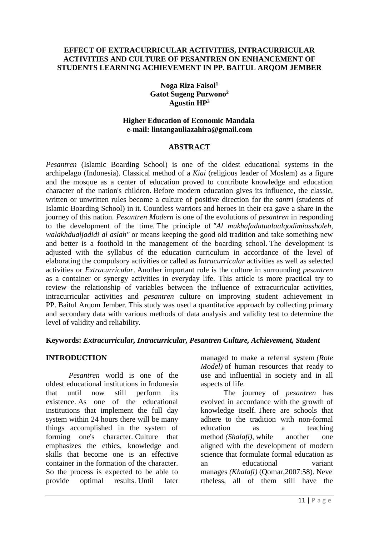#### **EFFECT OF EXTRACURRICULAR ACTIVITIES, INTRACURRICULAR ACTIVITIES AND CULTURE OF PESANTREN ON ENHANCEMENT OF STUDENTS LEARNING ACHIEVEMENT IN PP. BAITUL ARQOM JEMBER**

**Noga Riza Faisol<sup>1</sup> Gatot Sugeng Purwono<sup>2</sup> Agustin HP<sup>3</sup>**

#### **Higher Education of Economic Mandala e-mail: lintangauliazahira@gmail.com**

#### **ABSTRACT**

*Pesantren* (Islamic Boarding School) is one of the oldest educational systems in the archipelago (Indonesia). Classical method of a *Kiai* (religious leader of Moslem) as a figure and the mosque as a center of education proved to contribute knowledge and education character of the nation's children. Before modern education gives its influence, the classic, written or unwritten rules become a culture of positive direction for the *santri* (students of Islamic Boarding School) in it. Countless warriors and heroes in their era gave a share in the journey of this nation. *Pesantren Modern* is one of the evolutions of *pesantren* in responding to the development of the time. The principle of *"Al mukhafadatualaalqodimiassholeh, walakhdualjadidi al aslah"* or means keeping the good old tradition and take something new and better is a foothold in the management of the boarding school. The development is adjusted with the syllabus of the education curriculum in accordance of the level of elaborating the compulsory activities or called as *Intracurricular* activities as well as selected activities or *Extracurricular*. Another important role is the culture in surrounding *pesantren* as a container or synergy activities in everyday life. This article is more practical try to review the relationship of variables between the influence of extracurricular activities, intracurricular activities and *pesantren* culture on improving student achievement in PP. Baitul Arqom Jember. This study was used a quantitative approach by collecting primary and secondary data with various methods of data analysis and validity test to determine the level of validity and reliability.

### **Keywords:** *Extracurricular, Intracurricular, Pesantren Culture, Achievement, Student*

#### **INTRODUCTION**

*Pesantren* world is one of the oldest educational institutions in Indonesia that until now still perform its existence. As one of the educational institutions that implement the full day system within 24 hours there will be many things accomplished in the system of forming one's character. Culture that emphasizes the ethics, knowledge and skills that become one is an effective container in the formation of the character. So the process is expected to be able to provide optimal results. Until later

managed to make a referral system *(Role Model)* of human resources that ready to use and influential in society and in all aspects of life.

The journey of *pesantren* has evolved in accordance with the growth of knowledge itself. There are schools that adhere to the tradition with non-formal education as a teaching method *(Shalafi),* while another one aligned with the development of modern science that formulate formal education as an educational variant manages *(Khalafi)* (Qomar,2007:58). Neve rtheless, all of them still have the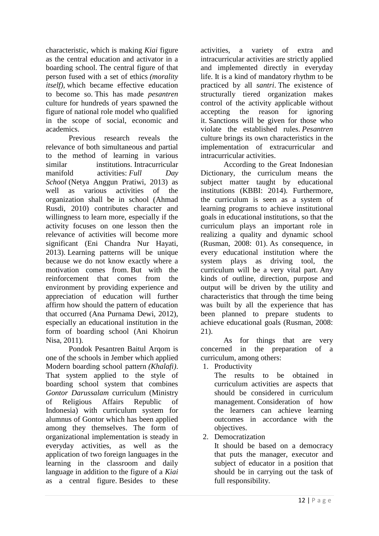characteristic, which is making *Kiai* figure as the central education and activator in a boarding school. The central figure of that person fused with a set of ethics *(morality itself),* which became effective education to become so. This has made *pesantren* culture for hundreds of years spawned the figure of national role model who qualified in the scope of social, economic and academics.

Previous research reveals the relevance of both simultaneous and partial to the method of learning in various similar institutions. Intracurricular manifold activities: *Full Day School* (Netya Anggun Pratiwi, 2013) as well as various activities of the organization shall be in school (Ahmad Rusdi, 2010) contributes character and willingness to learn more, especially if the activity focuses on one lesson then the relevance of activities will become more significant (Eni Chandra Nur Hayati, 2013). Learning patterns will be unique because we do not know exactly where a motivation comes from. But with the reinforcement that comes from the environment by providing experience and appreciation of education will further affirm how should the pattern of education that occurred (Ana Purnama Dewi, 2012), especially an educational institution in the form of boarding school (Ani Khoirun Nisa, 2011).

Pondok Pesantren Baitul Arqom is one of the schools in Jember which applied Modern boarding school pattern *(Khalafi)*. That system applied to the style of boarding school system that combines *Gontor Darussalam* curriculum (Ministry of Religious Affairs Republic of Indonesia) with curriculum system for alumnus of Gontor which has been applied among they themselves. The form of organizational implementation is steady in everyday activities, as well as the application of two foreign languages in the learning in the classroom and daily language in addition to the figure of a *Kiai* as a central figure. Besides to these activities, a variety of extra and intracurricular activities are strictly applied and implemented directly in everyday life. It is a kind of mandatory rhythm to be practiced by all *santri*. The existence of structurally tiered organization makes control of the activity applicable without accepting the reason for ignoring it. Sanctions will be given for those who violate the established rules. *Pesantren* culture brings its own characteristics in the implementation of extracurricular and intracurricular activities.

According to the Great Indonesian Dictionary, the curriculum means the subject matter taught by educational institutions (KBBI: 2014). Furthermore, the curriculum is seen as a system of learning programs to achieve institutional goals in educational institutions, so that the curriculum plays an important role in realizing a quality and dynamic school (Rusman, 2008: 01). As consequence, in every educational institution where the system plays as driving tool, the curriculum will be a very vital part. Any kinds of outline, direction, purpose and output will be driven by the utility and characteristics that through the time being was built by all the experience that has been planned to prepare students to achieve educational goals (Rusman, 2008: 21).

As for things that are very concerned in the preparation of a curriculum, among others:

1. Productivity

The results to be obtained in curriculum activities are aspects that should be considered in curriculum management. Consideration of how the learners can achieve learning outcomes in accordance with the objectives.

2. Democratization

It should be based on a democracy that puts the manager, executor and subject of educator in a position that should be in carrying out the task of full responsibility.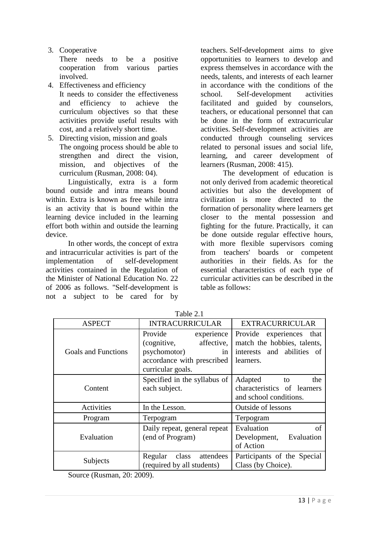3. Cooperative

There needs to be a positive cooperation from various parties involved.

- 4. Effectiveness and efficiency It needs to consider the effectiveness and efficiency to achieve the curriculum objectives so that these activities provide useful results with cost, and a relatively short time.
- 5. Directing vision, mission and goals The ongoing process should be able to strengthen and direct the vision, mission, and objectives of the curriculum (Rusman, 2008: 04).

Linguistically, extra is a form bound outside and intra means bound within. Extra is known as free while intra is an activity that is bound within the learning device included in the learning effort both within and outside the learning device.

In other words, the concept of extra and intracurricular activities is part of the implementation of self-development activities contained in the Regulation of the Minister of National Education No. 22 of 2006 as follows. "Self-development is not a subject to be cared for by teachers. Self-development aims to give opportunities to learners to develop and express themselves in accordance with the needs, talents, and interests of each learner in accordance with the conditions of the school. Self-development activities facilitated and guided by counselors, teachers, or educational personnel that can be done in the form of extracurricular activities. Self-development activities are conducted through counseling services related to personal issues and social life, learning, and career development of learners (Rusman, 2008: 415).

The development of education is not only derived from academic theoretical activities but also the development of civilization is more directed to the formation of personality where learners get closer to the mental possession and fighting for the future. Practically, it can be done outside regular effective hours, with more flexible supervisors coming from teachers' boards or competent authorities in their fields. As for the essential characteristics of each type of curricular activities can be described in the table as follows:

| <b>ASPECT</b>              | <b>INTRACURRICULAR</b>                                                                                                      | <b>EXTRACURRICULAR</b>                                                                                |
|----------------------------|-----------------------------------------------------------------------------------------------------------------------------|-------------------------------------------------------------------------------------------------------|
| <b>Goals and Functions</b> | Provide<br>experience<br>affective,<br>(cognitive,<br>psychomotor)<br>in<br>accordance with prescribed<br>curricular goals. | Provide experiences<br>that<br>match the hobbies, talents,<br>interests and abilities of<br>learners. |
| Content                    | Specified in the syllabus of<br>each subject.                                                                               | Adapted<br>the<br>to<br>characteristics of learners<br>and school conditions.                         |
| <b>Activities</b>          | In the Lesson.                                                                                                              | Outside of lessons                                                                                    |
| Program                    | Terpogram                                                                                                                   | Terpogram                                                                                             |
| Evaluation                 | Daily repeat, general repeat<br>(end of Program)                                                                            | Evaluation<br>of<br>Evaluation<br>Development,<br>of Action                                           |
| Subjects                   | Regular<br>class<br>attendees<br>(required by all students)                                                                 | Participants of the Special<br>Class (by Choice).                                                     |

Table 2.1

Source (Rusman, 20: 2009).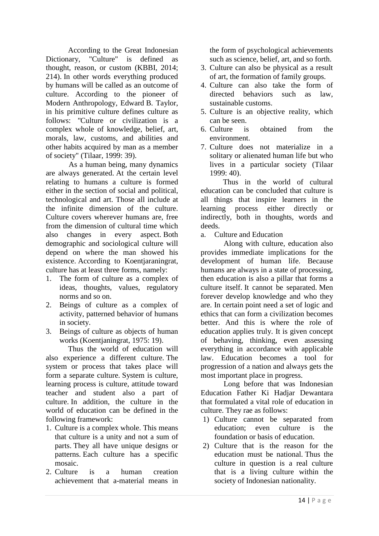According to the Great Indonesian Dictionary, "Culture" is defined as thought, reason, or custom (KBBI, 2014; 214). In other words everything produced by humans will be called as an outcome of culture. According to the pioneer of Modern Anthropology, Edward B. Taylor, in his primitive culture defines culture as follows: *"*Culture or civilization is a complex whole of knowledge, belief, art, morals, law, customs, and abilities and other habits acquired by man as a member of society" (Tilaar, 1999: 39).

As a human being, many dynamics are always generated. At the certain level relating to humans a culture is formed either in the section of social and political, technological and art. Those all include at the infinite dimension of the culture. Culture covers wherever humans are, free from the dimension of cultural time which also changes in every aspect. Both demographic and sociological culture will depend on where the man showed his existence. According to Koentjaraningrat, culture has at least three forms, namely:

- 1. The form of culture as a complex of ideas, thoughts, values, regulatory norms and so on.
- 2. Beings of culture as a complex of activity, patterned behavior of humans in society.
- 3. Beings of culture as objects of human works (Koentjaningrat, 1975: 19).

Thus the world of education will also experience a different culture. The system or process that takes place will form a separate culture. System is culture, learning process is culture, attitude toward teacher and student also a part of culture. In addition, the culture in the world of education can be defined in the following framework:

- 1. Culture is a complex whole. This means that culture is a unity and not a sum of parts. They all have unique designs or patterns. Each culture has a specific mosaic.
- 2. Culture is a human creation achievement that a-material means in

the form of psychological achievements such as science, belief, art, and so forth.

- 3. Culture can also be physical as a result of art, the formation of family groups.
- 4. Culture can also take the form of directed behaviors such as law, sustainable customs.
- 5. Culture is an objective reality, which can be seen.
- 6. Culture is obtained from the environment.
- 7. Culture does not materialize in a solitary or alienated human life but who lives in a particular society (Tilaar 1999: 40).

Thus in the world of cultural education can be concluded that culture is all things that inspire learners in the learning process either directly or indirectly, both in thoughts, words and deeds.

a. Culture and Education

Along with culture, education also provides immediate implications for the development of human life. Because humans are always in a state of processing, then education is also a pillar that forms a culture itself. It cannot be separated. Men forever develop knowledge and who they are. In certain point need a set of logic and ethics that can form a civilization becomes better. And this is where the role of education applies truly. It is given concept of behaving, thinking, even assessing everything in accordance with applicable law. Education becomes a tool for progression of a nation and always gets the most important place in progress.

Long before that was Indonesian Education Father Ki Hadjar Dewantara that formulated a vital role of education in culture. They rae as follows:

- 1) Culture cannot be separated from education; even culture is the foundation or basis of education.
- 2) Culture that is the reason for the education must be national. Thus the culture in question is a real culture that is a living culture within the society of Indonesian nationality.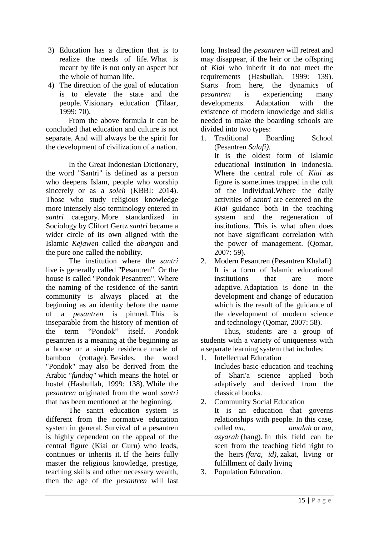- 3) Education has a direction that is to realize the needs of life. What is meant by life is not only an aspect but the whole of human life.
- 4) The direction of the goal of education is to elevate the state and the people. Visionary education (Tilaar, 1999: 70).

From the above formula it can be concluded that education and culture is not separate. And will always be the spirit for the development of civilization of a nation.

In the Great Indonesian Dictionary, the word "Santri" is defined as a person who deepens Islam, people who worship sincerely or as a *soleh* (KBBI: 2014). Those who study religious knowledge more intensely also terminology entered in *santri* category. More standardized in Sociology by Clifort Gertz *santri* became a wider circle of its own aligned with the Islamic *Kejawen* called the *abangan* and the pure one called the nobility.

The institution where the *santri* live is generally called "Pesantren". Or the house is called "Pondok Pesantren". Where the naming of the residence of the santri community is always placed at the beginning as an identity before the name of a *pesantren* is pinned. This is inseparable from the history of mention of the term "Pondok" itself. Pondok pesantren is a meaning at the beginning as a house or a simple residence made of bamboo (cottage). Besides, the word "Pondok" may also be derived from the Arabic *"funduq"* which means the hotel or hostel (Hasbullah, 1999: 138). While the *pesantren* originated from the word *santri* that has been mentioned at the beginning.

The santri education system is different from the normative education system in general. Survival of a pesantren is highly dependent on the appeal of the central figure (Kiai or Guru) who leads, continues or inherits it. If the heirs fully master the religious knowledge, prestige, teaching skills and other necessary wealth, then the age of the *pesantren* will last

long. Instead the *pesantren* will retreat and may disappear, if the heir or the offspring of *Kiai* who inherit it do not meet the requirements (Hasbullah, 1999: 139). Starts from here, the dynamics of *pesantren* is experiencing many developments. Adaptation with the existence of modern knowledge and skills needed to make the boarding schools are divided into two types:

1. Traditional Boarding School (Pesantren *Salafi).*

It is the oldest form of Islamic educational institution in Indonesia. Where the central role of *Kiai* as figure is sometimes trapped in the cult of the individual.Where the daily activities of *santri* are centered on the *Kiai* guidance both in the teaching system and the regeneration of institutions. This is what often does not have significant correlation with the power of management. (Qomar, 2007: 59).

2. Modern Pesantren (Pesantren Khalafi) It is a form of Islamic educational institutions that are more adaptive. Adaptation is done in the development and change of education which is the result of the guidance of the development of modern science and technology (Qomar, 2007: 58).

Thus, students are a group of students with a variety of uniqueness with a separate learning system that includes:

- 1. Intellectual Education Includes basic education and teaching of Shari'a science applied both adaptively and derived from the classical books.
- 2. Community Social Education It is an education that governs relationships with people. In this case, called *mu, amalah* or *mu, asyarah* (hang). In this field can be seen from the teaching field right to the heirs *(fara, id),* zakat, living or fulfillment of daily living
- 3. Population Education.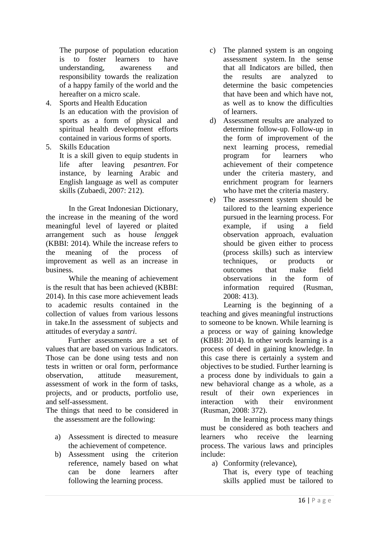The purpose of population education is to foster learners to have understanding, awareness and responsibility towards the realization of a happy family of the world and the hereafter on a micro scale.

4. Sports and Health Education Is an education with the provision of sports as a form of physical and spiritual health development efforts contained in various forms of sports.

5. Skills Education

It is a skill given to equip students in life after leaving *pesantren*. For instance, by learning Arabic and English language as well as computer skills (Zubaedi, 2007: 212).

In the Great Indonesian Dictionary, the increase in the meaning of the word meaningful level of layered or plaited arrangement such as house *lenggek* (KBBI: 2014). While the increase refers to the meaning of the process of improvement as well as an increase in business.

While the meaning of achievement is the result that has been achieved (KBBI: 2014). In this case more achievement leads to academic results contained in the collection of values from various lessons in take.In the assessment of subjects and attitudes of everyday a *santri*.

Further assessments are a set of values that are based on various Indicators. Those can be done using tests and non tests in written or oral form, performance observation, attitude measurement, assessment of work in the form of tasks, projects, and or products, portfolio use, and self-assessment.

The things that need to be considered in the assessment are the following:

- a) Assessment is directed to measure the achievement of competence.
- b) Assessment using the criterion reference, namely based on what can be done learners after following the learning process.
- c) The planned system is an ongoing assessment system. In the sense that all Indicators are billed, then the results are analyzed to determine the basic competencies that have been and which have not, as well as to know the difficulties of learners.
- d) Assessment results are analyzed to determine follow-up. Follow-up in the form of improvement of the next learning process, remedial program for learners who achievement of their competence under the criteria mastery, and enrichment program for learners who have met the criteria mastery.
- e) The assessment system should be tailored to the learning experience pursued in the learning process. For example, if using a field observation approach, evaluation should be given either to process (process skills) such as interview techniques, or products or outcomes that make field observations in the form of information required (Rusman, 2008: 413).

Learning is the beginning of a teaching and gives meaningful instructions to someone to be known. While learning is a process or way of gaining knowledge (KBBI: 2014). In other words learning is a process of deed in gaining knowledge. In this case there is certainly a system and objectives to be studied. Further learning is a process done by individuals to gain a new behavioral change as a whole, as a result of their own experiences in interaction with their environment (Rusman, 2008: 372).

In the learning process many things must be considered as both teachers and learners who receive the learning process. The various laws and principles include:

a) Conformity (relevance),

That is, every type of teaching skills applied must be tailored to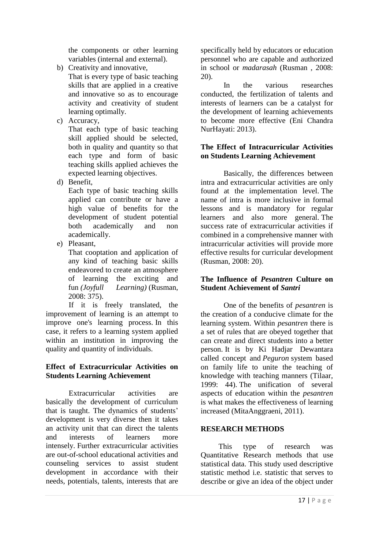the components or other learning variables (internal and external).

b) Creativity and innovative,

That is every type of basic teaching skills that are applied in a creative and innovative so as to encourage activity and creativity of student learning optimally.

c) Accuracy,

That each type of basic teaching skill applied should be selected, both in quality and quantity so that each type and form of basic teaching skills applied achieves the expected learning objectives.

d) Benefit,

Each type of basic teaching skills applied can contribute or have a high value of benefits for the development of student potential both academically and non academically.

e) Pleasant,

That cooptation and application of any kind of teaching basic skills endeavored to create an atmosphere of learning the exciting and fun *(Joyfull Learning)* (Rusman, 2008: 375).

If it is freely translated, the improvement of learning is an attempt to improve one's learning process. In this case, it refers to a learning system applied within an institution in improving the quality and quantity of individuals.

## **Effect of Extracurricular Activities on Students Learning Achievement**

Extracurricular activities are basically the development of curriculum that is taught. The dynamics of students' development is very diverse then it takes an activity unit that can direct the talents and interests of learners more intensely. Further extracurricular activities are out-of-school educational activities and counseling services to assist student development in accordance with their needs, potentials, talents, interests that are

specifically held by educators or education personnel who are capable and authorized in school or *madarasah* (Rusman , 2008: 20).

In the various researches conducted, the fertilization of talents and interests of learners can be a catalyst for the development of learning achievements to become more effective (Eni Chandra NurHayati: 2013).

## **The Effect of Intracurricular Activities on Students Learning Achievement**

Basically, the differences between intra and extracurricular activities are only found at the implementation level. The name of intra is more inclusive in formal lessons and is mandatory for regular learners and also more general. The success rate of extracurricular activities if combined in a comprehensive manner with intracurricular activities will provide more effective results for curricular development (Rusman, 2008: 20).

## **The Influence of** *Pesantren* **Culture on Student Achievement of** *Santri*

One of the benefits of *pesantren* is the creation of a conducive climate for the learning system. Within *pesantren* there is a set of rules that are obeyed together that can create and direct students into a better person. It is by Ki Hadjar Dewantara called concept and *Peguron* system based on family life to unite the teaching of knowledge with teaching manners (Tilaar, 1999: 44). The unification of several aspects of education within the *pesantren* is what makes the effectiveness of learning increased (MitaAnggraeni, 2011).

### **RESEARCH METHODS**

This type of research was Quantitative Research methods that use statistical data. This study used descriptive statistic method i.e. statistic that serves to describe or give an idea of the object under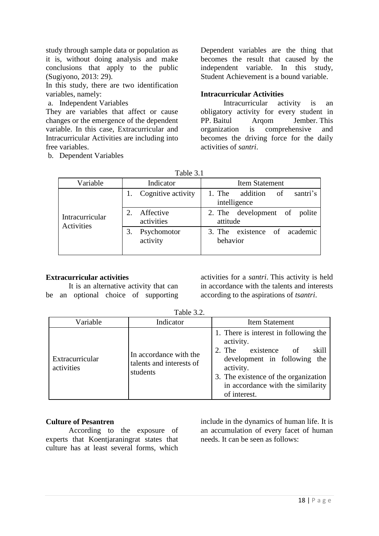study through sample data or population as it is, without doing analysis and make conclusions that apply to the public (Sugiyono, 2013: 29).

In this study, there are two identification variables, namely:

a. Independent Variables

They are variables that affect or cause changes or the emergence of the dependent variable. In this case, Extracurricular and Intracurricular Activities are including into free variables.

b. Dependent Variables

Dependent variables are the thing that becomes the result that caused by the independent variable. In this study, Student Achievement is a bound variable.

## **Intracurricular Activities**

Intracurricular activity is an obligatory activity for every student in PP. Baitul Arqom Jember. This organization is comprehensive and becomes the driving force for the daily activities of *santri*.

| Table 3.1 |  |
|-----------|--|
|           |  |

| Variable                      | Indicator               | <b>Item Statement</b>                                |
|-------------------------------|-------------------------|------------------------------------------------------|
| Intracurricular<br>Activities | Cognitive activity      | santri's<br>addition<br>1. The<br>of<br>intelligence |
|                               | Affective<br>activities | 2. The development of polite<br>attitude             |
|                               | Psychomotor<br>activity | 3. The existence of academic<br>behavior             |

### **Extracurricular activities**

It is an alternative activity that can be an optional choice of supporting

activities for a *santri*. This activity is held in accordance with the talents and interests according to the aspirations of *tsantri*.

| Variable                      | Indicator                                                      | <b>Item Statement</b>                                                                                                                                                                                                        |
|-------------------------------|----------------------------------------------------------------|------------------------------------------------------------------------------------------------------------------------------------------------------------------------------------------------------------------------------|
| Extracurricular<br>activities | In accordance with the<br>talents and interests of<br>students | 1. There is interest in following the<br>activity.<br>2. The existence of<br>skill<br>development in following the<br>activity.<br>3. The existence of the organization<br>in accordance with the similarity<br>of interest. |

Table 3.2.

#### **Culture of Pesantren**

According to the exposure of experts that Koentjaraningrat states that culture has at least several forms, which

include in the dynamics of human life. It is an accumulation of every facet of human needs. It can be seen as follows: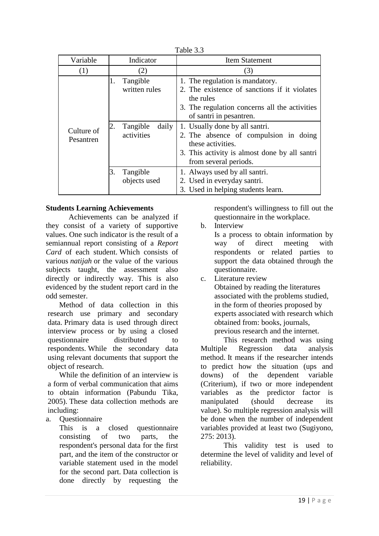| Variable                | Indicator                                                                | <b>Item Statement</b>                                                                                                                                                                                                                                                                                                                              |
|-------------------------|--------------------------------------------------------------------------|----------------------------------------------------------------------------------------------------------------------------------------------------------------------------------------------------------------------------------------------------------------------------------------------------------------------------------------------------|
| (1)                     | (2)                                                                      | (3)                                                                                                                                                                                                                                                                                                                                                |
| Culture of<br>Pesantren | Tangible<br>1.<br>written rules<br>Tangible<br>daily<br>2.<br>activities | 1. The regulation is mandatory.<br>2. The existence of sanctions if it violates<br>the rules<br>3. The regulation concerns all the activities<br>of santri in pesantren.<br>1. Usually done by all santri.<br>2. The absence of compulsion in doing<br>these activities.<br>3. This activity is almost done by all santri<br>from several periods. |
|                         | Tangible<br>3.<br>objects used                                           | 1. Always used by all santri.<br>2. Used in everyday santri.<br>3. Used in helping students learn.                                                                                                                                                                                                                                                 |

#### Table 3.3

#### **Students Learning Achievements**

Achievements can be analyzed if they consist of a variety of supportive values. One such indicator is the result of a semiannual report consisting of a *Report Card* of each student. Which consists of various *natijah* or the value of the various subjects taught, the assessment also directly or indirectly way. This is also evidenced by the student report card in the odd semester.

Method of data collection in this research use primary and secondary data. Primary data is used through direct interview process or by using a closed questionnaire distributed to respondents. While the secondary data using relevant documents that support the object of research.

While the definition of an interview is a form of verbal communication that aims to obtain information (Pabundu Tika, 2005). These data collection methods are including:

a. Questionnaire

This is a closed questionnaire consisting of two parts, the respondent's personal data for the first part, and the item of the constructor or variable statement used in the model for the second part. Data collection is done directly by requesting the

respondent's willingness to fill out the questionnaire in the workplace.

### b. Interview

Is a process to obtain information by way of direct meeting with respondents or related parties to support the data obtained through the questionnaire.

c. Literature review Obtained by reading the literatures associated with the problems studied, in the form of theories proposed by experts associated with research which obtained from: books, journals, previous research and the internet.

This research method was using Multiple Regression data analysis method. It means if the researcher intends to predict how the situation (ups and downs) of the dependent variable (Criterium), if two or more independent variables as the predictor factor is manipulated (should decrease its value). So multiple regression analysis will be done when the number of independent variables provided at least two (Sugiyono,  $275: 2013$ 

This validity test is used to determine the level of validity and level of reliability.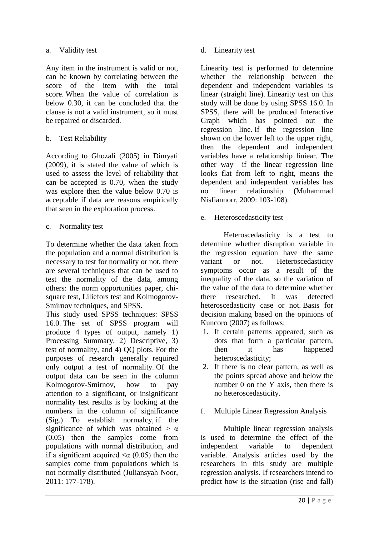#### a. Validity test

Any item in the instrument is valid or not, can be known by correlating between the score of the item with the total score. When the value of correlation is below 0.30, it can be concluded that the clause is not a valid instrument, so it must be repaired or discarded.

## b. Test Reliability

According to Ghozali (2005) in Dimyati (2009), it is stated the value of which is used to assess the level of reliability that can be accepted is 0.70, when the study was explore then the value below 0.70 is acceptable if data are reasons empirically that seen in the exploration process.

### c. Normality test

To determine whether the data taken from the population and a normal distribution is necessary to test for normality or not, there are several techniques that can be used to test the normality of the data, among others: the norm opportunities paper, chisquare test, Liliefors test and Kolmogorov-Smirnov techniques, and SPSS.

This study used SPSS techniques: SPSS 16.0. The set of SPSS program will produce 4 types of output, namely 1) Processing Summary, 2) Descriptive, 3) test of normality, and 4) QQ plots. For the purposes of research generally required only output a test of normality. Of the output data can be seen in the column Kolmogorov-Smirnov, how to pay attention to a significant, or insignificant normality test results is by looking at the numbers in the column of significance (Sig.) To establish normalcy, if the significance of which was obtained  $> \alpha$ (0.05) then the samples come from populations with normal distribution, and if a significant acquired  $\leq \alpha$  (0.05) then the samples come from populations which is not normally distributed (Juliansyah Noor, 2011: 177-178).

d. Linearity test

Linearity test is performed to determine whether the relationship between the dependent and independent variables is linear (straight line). Linearity test on this study will be done by using SPSS 16.0. In SPSS, there will be produced Interactive Graph which has pointed out the regression line. If the regression line shown on the lower left to the upper right, then the dependent and independent variables have a relationship liniear. The other way if the linear regression line looks flat from left to right, means the dependent and independent variables has no linear relationship (Muhammad Nisfiannorr, 2009: 103-108).

e. Heteroscedasticity test

Heteroscedasticity is a test to determine whether disruption variable in the regression equation have the same variant or not. Heteroscedasticity symptoms occur as a result of the inequality of the data, so the variation of the value of the data to determine whether there researched. It was detected heteroscedasticity case or not. Basis for decision making based on the opinions of Kuncoro (2007) as follows:

- 1. If certain patterns appeared, such as dots that form a particular pattern, then it has happened heteroscedasticity;
- 2. If there is no clear pattern, as well as the points spread above and below the number 0 on the Y axis, then there is no heteroscedasticity.
- f. Multiple Linear Regression Analysis

Multiple linear regression analysis is used to determine the effect of the independent variable to dependent variable. Analysis articles used by the researchers in this study are multiple regression analysis. If researchers intend to predict how is the situation (rise and fall)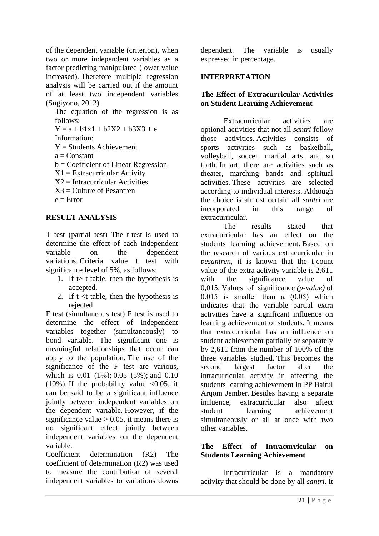of the dependent variable (criterion), when two or more independent variables as a factor predicting manipulated (lower value increased). Therefore multiple regression analysis will be carried out if the amount of at least two independent variables (Sugiyono, 2012).

The equation of the regression is as follows:

 $Y = a + b1x1 + b2X2 + b3X3 + e$ 

Information:

 $Y =$ Students Achievement

 $a = Constant$ 

b = Coefficient of Linear Regression

 $X1 =$  Extracurricular Activity

 $X2 = Intrac{urricular}$  Activities

 $X3 =$  Culture of Pesantren

 $e =$  Error

### **RESULT ANALYSIS**

T test (partial test) The t-test is used to determine the effect of each independent variable on the dependent variations. Criteria value t test with significance level of 5%, as follows:

- 1. If t table, then the hypothesis is accepted.
- 2. If  $t \leq t$  table, then the hypothesis is rejected

F test (simultaneous test) F test is used to determine the effect of independent variables together (simultaneously) to bond variable. The significant one is meaningful relationships that occur can apply to the population. The use of the significance of the F test are various, which is 0.01 (1%); 0.05 (5%); and 0.10 (10%). If the probability value  $\langle 0.05, it$ can be said to be a significant influence jointly between independent variables on the dependent variable. However, if the significance value  $> 0.05$ , it means there is no significant effect jointly between independent variables on the dependent variable.

Coefficient determination (R2) The coefficient of determination (R2) was used to measure the contribution of several independent variables to variations downs dependent. The variable is usually expressed in percentage.

## **INTERPRETATION**

## **The Effect of Extracurricular Activities on Student Learning Achievement**

Extracurricular activities are optional activities that not all *santri* follow those activities. Activities consists of sports activities such as basketball, volleyball, soccer, martial arts, and so forth. In art, there are activities such as theater, marching bands and spiritual activities. These activities are selected according to individual interests. Although the choice is almost certain all *santri* are incorporated in this range of extracurricular.

The results stated that extracurricular has an effect on the students learning achievement. Based on the research of various extracurricular in *pesantren*, it is known that the t-count value of the extra activity variable is 2,611 with the significance value of 0,015. Values of significance *(p-value)* of 0.015 is smaller than  $\alpha$  (0.05) which indicates that the variable partial extra activities have a significant influence on learning achievement of students. It means that extracurricular has an influence on student achievement partially or separately by 2,611 from the number of 100% of the three variables studied. This becomes the second largest factor after the intracurricular activity in affecting the students learning achievement in PP Baitul Arqom Jember. Besides having a separate influence, extracurricular also affect student learning achievement simultaneously or all at once with two other variables.

## **The Effect of Intracurricular on Students Learning Achievement**

Intracurricular is a mandatory activity that should be done by all *santri*. It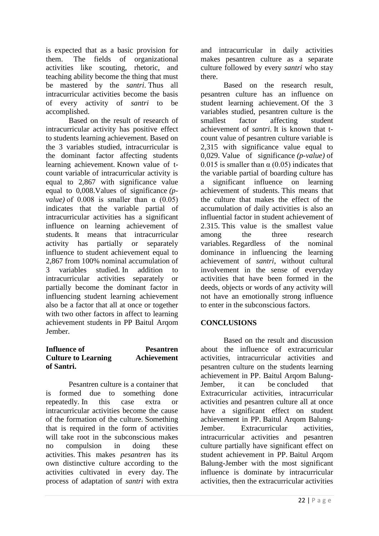is expected that as a basic provision for them. The fields of organizational activities like scouting, rhetoric, and teaching ability become the thing that must be mastered by the *santri*. Thus all intracurricular activities become the basis of every activity of *santri* to be accomplished.

Based on the result of research of intracurricular activity has positive effect to students learning achievement. Based on the 3 variables studied, intracurricular is the dominant factor affecting students learning achievement. Known value of tcount variable of intracurricular activity is equal to 2,867 with significance value equal to 0,008.Values of significance *(pvalue*) of  $0.008$  is smaller than  $\alpha$  (0.05) indicates that the variable partial of intracurricular activities has a significant influence on learning achievement of students. It means that intracurricular activity has partially or separately influence to student achievement equal to 2,867 from 100% nominal accumulation of 3 variables studied. In addition to intracurricular activities separately or partially become the dominant factor in influencing student learning achievement also be a factor that all at once or together with two other factors in affect to learning achievement students in PP Baitul Arqom Jember.

#### **Influence of Pesantren Culture to Learning Achievement of Santri.**

Pesantren culture is a container that is formed due to something done repeatedly. In this case extra or intracurricular activities become the cause of the formation of the culture. Something that is required in the form of activities will take root in the subconscious makes no compulsion in doing these activities. This makes *pesantren* has its own distinctive culture according to the activities cultivated in every day. The process of adaptation of *santri* with extra and intracurricular in daily activities makes pesantren culture as a separate culture followed by every *santri* who stay there.

Based on the research result, pesantren culture has an influence on student learning achievement. Of the 3 variables studied, pesantren culture is the smallest factor affecting student achievement of *santri*. It is known that tcount value of pesantren culture variable is 2,315 with significance value equal to 0,029. Value of significance *(p-value)* of 0.015 is smaller than  $\alpha$  (0.05) indicates that the variable partial of boarding culture has a significant influence on learning achievement of students. This means that the culture that makes the effect of the accumulation of daily activities is also an influential factor in student achievement of 2.315. This value is the smallest value among the three research variables. Regardless of the nominal dominance in influencing the learning achievement of *santri*, without cultural involvement in the sense of everyday activities that have been formed in the deeds, objects or words of any activity will not have an emotionally strong influence to enter in the subconscious factors.

# **CONCLUSIONS**

Based on the result and discussion about the influence of extracurricular activities, intracurricular activities and pesantren culture on the students learning achievement in PP. Baitul Arqom Balung-Jember, it can be concluded that Extracurricular activities, intracurricular activities and pesantren culture all at once have a significant effect on student achievement in PP. Baitul Arqom Balung-Jember. Extracurricular activities, intracurricular activities and pesantren culture partially have significant effect on student achievement in PP. Baitul Arqom Balung-Jember with the most significant influence is dominate by intracurricular activities, then the extracurricular activities